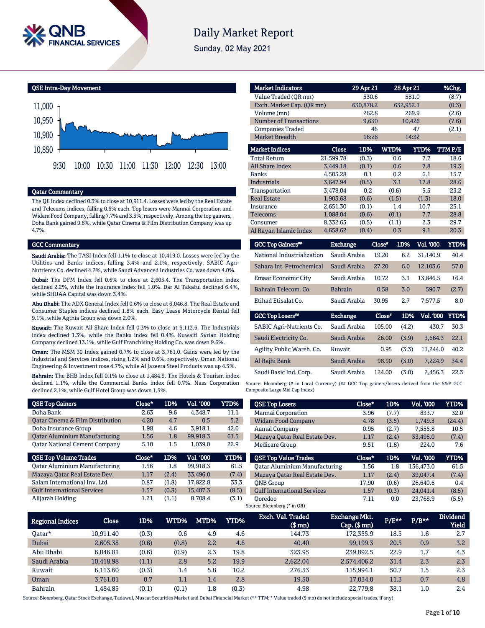

# **Daily Market Report**

Sunday, 02 May 2021



### Qatar Commentary

The QE Index declined 0.3% to close at 10,911.4. Losses were led by the Real Estate and Telecoms indices, falling 0.6% each. Top losers were Mannai Corporation and Widam Food Company, falling 7.7% and 3.5%, respectively. Among the top gainers, Doha Bank gained 9.6%, while Qatar Cinema & Film Distribution Company was up 4.7%.

#### GCC Commentary

Saudi Arabia: The TASI Index fell 1.1% to close at 10,419.0. Losses were led by the Utilities and Banks indices, falling 3.4% and 2.1%, respectively. SABIC Agri-Nutrients Co. declined 4.2%, while Saudi Advanced Industries Co. was down 4.0%.

Dubai: The DFM Index fell 0.6% to close at 2,605.4. The Transportation index declined 2.2%, while the Insurance index fell 1.0%. Dar Al Takaful declined 6.4%, while SHUAA Capital was down 3.4%.

Abu Dhabi: The ADX General Index fell 0.6% to close at 6,046.8. The Real Estate and Consumer Staples indices declined 1.8% each. Easy Lease Motorcycle Rental fell 9.1%, while Agthia Group was down 2.0%.

Kuwait: The Kuwait All Share Index fell 0.3% to close at 6,113.6. The Industrials index declined 1.3%, while the Banks index fell 0.4%. Kuwaiti Syrian Holding Company declined 13.1%, while Gulf Franchising Holding Co. was down 9.6%.

Oman: The MSM 30 Index gained 0.7% to close at 3,761.0. Gains were led by the Industrial and Services indices, rising 1.2% and 0.6%, respectively. Oman National Engineering & Investment rose 4.7%, while Al Jazeera Steel Products was up 4.5%.

Bahrain: The BHB Index fell 0.1% to close at 1,484.9. The Hotels & Tourism index declined 1.1%, while the Commercial Banks index fell 0.7%. Nass Corporation declined 2.1%, while Gulf Hotel Group was down 1.5%.

| <b>QSE Top Gainers</b>               | Close* | 1D%   | <b>Vol. '000</b> | YTD%  |
|--------------------------------------|--------|-------|------------------|-------|
| Doha Bank                            | 2.63   | 9.6   | 4.348.7          | 11.1  |
| Oatar Cinema & Film Distribution     | 4.20   | 4.7   | 0.5              | 5.2   |
| Doha Insurance Group                 | 1.98   | 4.6   | 3.918.1          | 42.0  |
| <b>Qatar Aluminium Manufacturing</b> | 1.56   | 1.8   | 99.918.3         | 61.5  |
| <b>Oatar National Cement Company</b> | 5.10   | 1.5   | 1.039.0          | 22.9  |
|                                      |        |       |                  |       |
| <b>QSE Top Volume Trades</b>         | Close* | 1D%   | <b>Vol. '000</b> | YTD%  |
| <b>Qatar Aluminium Manufacturing</b> | 1.56   | 1.8   | 99.918.3         | 61.5  |
| Mazaya Oatar Real Estate Dev.        | 1.17   | (2.4) | 33.496.0         | (7.4) |
| Salam International Inv. Ltd.        | 0.87   | (1.8) | 17.822.8         | 33.3  |
| <b>Gulf International Services</b>   | 1.57   | (0.3) | 15,407.3         | (8.5) |

| <b>Market Indicators</b>  |           | 29 Apr 21 |       | 28 Apr 21   | %Chg.  |
|---------------------------|-----------|-----------|-------|-------------|--------|
| Value Traded (OR mn)      |           | 530.6     |       | 581.0       | (8.7)  |
| Exch. Market Cap. (QR mn) |           | 630,878.2 |       | 632,952.1   | (0.3)  |
| Volume (mn)               |           | 262.8     |       | 269.9       | (2.6)  |
| Number of Transactions    |           | 9,630     |       | 10,426      | (7.6)  |
| <b>Companies Traded</b>   |           | 46        |       | 47          | (2.1)  |
| Market Breadth            |           | 16:26     |       | 14:32       |        |
| <b>Market Indices</b>     | Close     | 1D%       | WTD%  | <b>YTD%</b> | TTMP/E |
| <b>Total Return</b>       | 21,599.78 | (0.3)     | 0.6   | 7.7         | 18.6   |
| <b>All Share Index</b>    | 3,449.18  | (0.1)     | 0.6   | 7.8         | 19.3   |
| <b>Banks</b>              | 4,505.28  | 0.1       | 0.2   | 6.1         | 15.7   |
| <b>Industrials</b>        | 3.647.94  | (0.5)     | 3.1   | 17.8        | 28.6   |
| Transportation            | 3.478.04  | 0.2       | (0.6) | 5.5         | 23.2   |
| <b>Real Estate</b>        | 1,903.68  | (0.6)     | (1.5) | (1.3)       | 18.0   |
| Insurance                 | 2,651.30  | (0.1)     | 1.4   | 10.7        | 25.1   |
| Telecoms                  | 1,088.04  | (0.6)     | (0.1) | 7.7         | 28.8   |
| Consumer                  | 8,332.65  | (0.5)     | (1.1) | 2.3         | 29.7   |
| Al Rayan Islamic Index    | 4,658.62  | (0.4)     | 0.3   | 9.1         | 20.3   |
|                           |           |           |       |             |        |

| <b>GCC Top Gainers</b> <sup>##</sup> | <b>Exchange</b> | Close* | 1D%   | <b>Vol. '000</b> | YTD%  |
|--------------------------------------|-----------------|--------|-------|------------------|-------|
| National Industrialization           | Saudi Arabia    | 19.20  | 6.2   | 31.140.9         | 40.4  |
| Sahara Int. Petrochemical            | Saudi Arabia    | 27.20  | 6.0   | 12,103.6         | 57.0  |
| Emaar Economic City                  | Saudi Arabia    | 10.72  | 3.1   | 13.846.5         | 16.4  |
| Bahrain Telecom, Co.                 | <b>Bahrain</b>  | 0.58   | 3.0   | 590.7            | (2.7) |
| Etihad Etisalat Co.                  | Saudi Arabia    | 30.95  | 2.7   | 7.577.5          | 8.0   |
| <b>GCC Top Losers**</b>              | <b>Exchange</b> | Close" | 1D%   | <b>Vol. '000</b> | YTD%  |
| <b>SABIC Agri-Nutrients Co.</b>      | Saudi Arabia    | 105.00 | (4.2) | 430.7            | 30.3  |

| SABIC Agri-Nutrients Co.  | - Saudi Arabia | <b>105.00</b> | (4.2) | 430.7    | 50.5   |
|---------------------------|----------------|---------------|-------|----------|--------|
| Saudi Electricity Co.     | Saudi Arabia   | 26.00         | (3.9) | 3.664.3  | 22.1   |
| Agility Public Wareh. Co. | Kuwait         | 0.95          | (3.3) | 11.244.0 | 40.2   |
| Al Rajhi Bank             | Saudi Arabia   | 98.90         | (3.0) | 7.224.9  | - 34.4 |
| Saudi Basic Ind. Corp.    | Saudi Arabia   | 124.00        | (3.0) | 2.456.3  | 22.3   |

Source: Bloomberg (# in Local Currency) (## GCC Top gainers/losers derived from the S&P GCC Composite Large Mid Cap Index)

| <b>QSE Top Losers</b>                | Close* | 1D%   | Vol. '000 | <b>YTD%</b> |
|--------------------------------------|--------|-------|-----------|-------------|
| Mannai Corporation                   | 3.96   | (7.7) | 833.7     | 32.0        |
| <b>Widam Food Company</b>            | 4.78   | (3.5) | 1,749.3   | (24.4)      |
| Aamal Company                        | 0.95   | (2.7) | 7,555.8   | 10.5        |
| Mazaya Qatar Real Estate Dev.        | 1.17   | (2.4) | 33.496.0  | (7.4)       |
| <b>Medicare Group</b>                | 9.51   | (1.8) | 224.0     | 7.6         |
|                                      |        |       |           |             |
| <b>QSE Top Value Trades</b>          | Close* | 1D%   | Val. '000 | <b>YTD%</b> |
| <b>Qatar Aluminium Manufacturing</b> | 1.56   | 1.8   | 156,473.0 | 61.5        |
| Mazaya Qatar Real Estate Dev.        | 1.17   | (2.4) | 39.047.4  | (7.4)       |
| <b>ONB</b> Group                     | 17.90  | (0.6) | 26.640.6  | 0.4         |
| <b>Gulf International Services</b>   | 1.57   | (0.3) | 24.041.4  | (8.5)       |

| <b>Regional Indices</b> | Close     | 1D%   | WTD%    | MTD% | <b>YTD%</b> | Exch. Val. Traded<br>$$$ mm $)$ | <b>Exchange Mkt.</b><br>$Cap.$ (\$ $mn$ ) | $P/E***$ | $P/B**$ | <b>Dividend</b><br><b>Yield</b> |
|-------------------------|-----------|-------|---------|------|-------------|---------------------------------|-------------------------------------------|----------|---------|---------------------------------|
| Oatar*                  | 10.911.40 | (0.3) | 0.6     | 4.9  | 4.6         | 144.73                          | 172.355.9                                 | 18.5     | 1.6     | 2.7                             |
| Dubai                   | 2,605.38  | (0.6) | (0.8)   | 2.2  | 4.6         | 40.40                           | 99,199.3                                  | 20.5     | 0.9     | 3.2                             |
| Abu Dhabi               | 6.046.81  | (0.6) | (0.9)   | 2.3  | 19.8        | 323.95                          | 239.892.5                                 | 22.9     | 1.7     | 4.3                             |
| Saudi Arabia            | 10,418.98 | (1.1) | 2.8     | 5.2  | 19.9        | 2.622.04                        | 2,574,406.2                               | 31.4     | 2.3     | 2.3                             |
| Kuwait                  | 6.113.60  | (0.3) | 1.4     | 5.8  | 10.2        | 276.53                          | 115.994.1                                 | 50.7     | 1.5     | 2.3                             |
| Oman                    | 3.761.01  | 0.7   | $1.1\,$ | 1.4  | 2.8         | 19.50                           | 17.034.0                                  | 11.3     | 0.7     | 4.8                             |
| <b>Bahrain</b>          | 1.484.85  | (0.1) | (0.1)   | 1.8  | (0.3)       | 4.98                            | 22,779.8                                  | 38.1     | 1.0     | 2.4                             |

Source: Bloomberg, Qatar Stock Exchange, Tadawul, Muscat Securities Market and Dubai Financial Market (\*\* TTM; \* Value traded (\$ mn) do not include special trades, if any)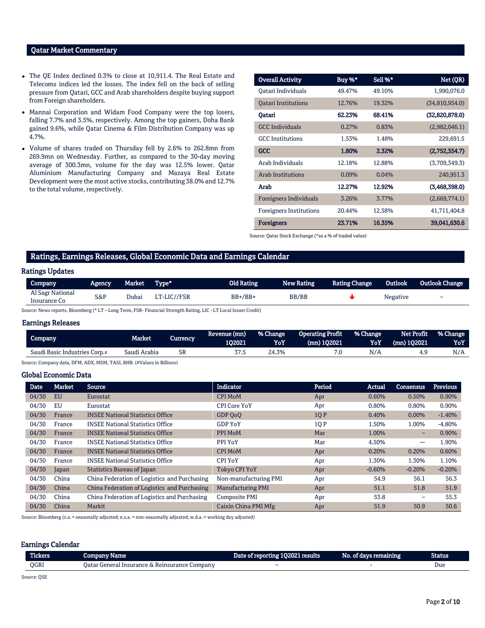## Qatar Market Commentary

- The QE Index declined 0.3% to close at 10,911.4. The Real Estate and Telecoms indices led the losses. The index fell on the back of selling pressure from Qatari, GCC and Arab shareholders despite buying support from Foreign shareholders.
- Mannai Corporation and Widam Food Company were the top losers, falling 7.7% and 3.5%, respectively. Among the top gainers, Doha Bank gained 9.6%, while Qatar Cinema & Film Distribution Company was up 4.7%.
- Volume of shares traded on Thursday fell by 2.6% to 262.8mn from 269.9mn on Wednesday. Further, as compared to the 30-day moving average of 300.3mn, volume for the day was 12.5% lower. Qatar Aluminium Manufacturing Company and Mazaya Real Estate Development were the most active stocks, contributing 38.0% and 12.7% to the total volume, respectively.

| <b>Overall Activity</b>        | Buy %* | Sell %* | Net (QR)       |
|--------------------------------|--------|---------|----------------|
| Oatari Individuals             | 49.47% | 49.10%  | 1,990,076.0    |
| <b>Oatari Institutions</b>     | 12.76% | 19.32%  | (34,810,954.0) |
| Oatari                         | 62.23% | 68.41%  | (32,820,878.0) |
| <b>GCC</b> Individuals         | 0.27%  | 0.83%   | (2,982,046.1)  |
| <b>GCC</b> Institutions        | 1.53%  | 1.48%   | 229,691.5      |
| GCC                            | 1.80%  | 2.32%   | (2,752,354.7)  |
| Arab Individuals               | 12.18% | 12.88%  | (3,709,349.3)  |
| <b>Arab Institutions</b>       | 0.09%  | 0.04%   | 240,951.3      |
| Arab                           | 12.27% | 12.92%  | (3,468,398.0)  |
| <b>Foreigners Individuals</b>  | 3.26%  | 3.77%   | (2,669,774.1)  |
| <b>Foreigners Institutions</b> | 20.44% | 12.58%  | 41,711,404.8   |
| <b>Foreigners</b>              | 23.71% | 16.35%  | 39,041,630.6   |

Source: Qatar Stock Exchange (\*as a % of traded value)

#### Ratings, Earnings Releases, Global Economic Data and Earnings Calendar

#### Ratings Updates

| Company                          | Agency. | Market | Type*       | <b>Old Rating</b> | <b>New Rating</b> | <b>Rating Change</b> | Outlook  | <b>Outlook Change</b>    |
|----------------------------------|---------|--------|-------------|-------------------|-------------------|----------------------|----------|--------------------------|
| Al Sagr National<br>Insurance Co | S&P     | Dubai  | LT-LIC//FSR | $BB+/BB+$         | <b>BB/BB</b>      |                      | Negative | $\overline{\phantom{0}}$ |

Source: News reports, Bloomberg (\* LT – Long Term, FSR- Financial Strength Rating, LIC - LT Local Issuer Credit)

#### Earnings Releases

| Company                       | Market       | Currencv  | Revenue (mn)<br>102021 | l % Change'<br>YoY | Operating Profit<br>$(mn)$ 102021 | l % Change '<br>YoY | Net Profit<br>$(mn)$ 102021 | <b>1% Change</b><br>YoY |
|-------------------------------|--------------|-----------|------------------------|--------------------|-----------------------------------|---------------------|-----------------------------|-------------------------|
| Saudi Basic Industries Corp.# | Saudi Arabia | <b>SR</b> | 37.5                   | 24.3%              |                                   | N/A                 | 4.9                         | N/A                     |

Source: Company data, DFM, ADX, MSM, TASI, BHB. (#Values in Billions)

### Global Economic Data

| <b>Date</b> | Market    | <b>Source</b>                                | <b>Indicator</b>         | Period | Actual   | <b>Consensus</b>         | <b>Previous</b> |
|-------------|-----------|----------------------------------------------|--------------------------|--------|----------|--------------------------|-----------------|
| 04/30       | <b>EU</b> | Eurostat                                     | <b>CPI MoM</b>           | Apr    | 0.60%    | 0.50%                    | 0.90%           |
| 04/30       | EU        | Eurostat                                     | <b>CPI Core YoY</b>      | Apr    | 0.80%    | 0.80%                    | 0.90%           |
| 04/30       | France    | <b>INSEE National Statistics Office</b>      | GDP OoO                  | 1QP    | 0.40%    | $0.00\%$                 | $-1.40%$        |
| 04/30       | France    | <b>INSEE National Statistics Office</b>      | <b>GDP YoY</b>           | 10 P   | 1.50%    | 1.00%                    | $-4.80%$        |
| 04/30       | France    | <b>INSEE National Statistics Office</b>      | PPI MoM                  | Mar    | 1.00%    | -                        | 0.90%           |
| 04/30       | France    | <b>INSEE National Statistics Office</b>      | PPI YoY                  | Mar    | 4.50%    | --                       | 1.90%           |
| 04/30       | France    | <b>INSEE National Statistics Office</b>      | <b>CPI MoM</b>           | Apr    | 0.20%    | 0.20%                    | 0.60%           |
| 04/30       | France    | <b>INSEE National Statistics Office</b>      | <b>CPI YoY</b>           | Apr    | 1.30%    | 1.30%                    | 1.10%           |
| 04/30       | Japan     | <b>Statistics Bureau of Japan</b>            | <b>Tokyo CPI YoY</b>     | Apr    | $-0.60%$ | $-0.20%$                 | $-0.20%$        |
| 04/30       | China     | China Federation of Logistics and Purchasing | Non-manufacturing PMI    | Apr    | 54.9     | 56.1                     | 56.3            |
| 04/30       | China     | China Federation of Logistics and Purchasing | <b>Manufacturing PMI</b> | Apr    | 51.1     | 51.8                     | 51.9            |
| 04/30       | China     | China Federation of Logistics and Purchasing | Composite PMI            | Apr    | 53.8     | $\overline{\phantom{0}}$ | 55.3            |
| 04/30       | China     | Markit                                       | Caixin China PMI Mfg     | Apr    | 51.9     | 50.9                     | 50.6            |

Source: Bloomberg (s.a. = seasonally adjusted; n.s.a. = non-seasonally adjusted; w.d.a. = working day adjusted)

#### Earnings Calendar

| <b>Tickers</b> | Company Name                                  | Date of reporting 102021 results | No. of days remaining | Status |
|----------------|-----------------------------------------------|----------------------------------|-----------------------|--------|
| OGRI           | Oatar General Insurance & Reinsurance Company | $\overline{\phantom{0}}$         |                       | Due    |

Source: QSE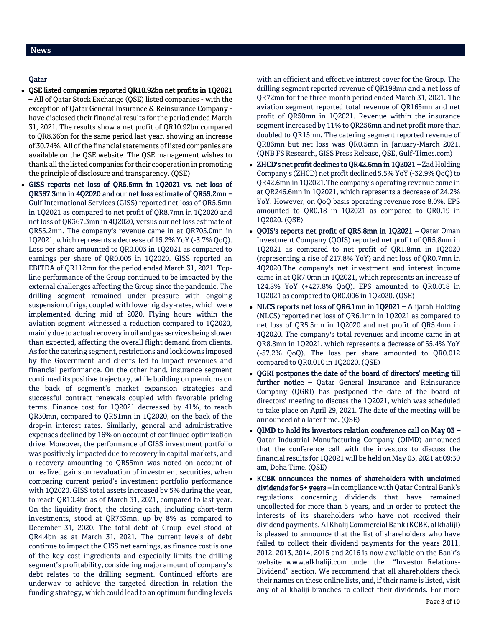# Qatar

- QSE listed companies reported QR10.92bn net profits in 1Q2021 – All of Qatar Stock Exchange (QSE) listed companies - with the exception of Qatar General Insurance & Reinsurance Company have disclosed their financial results for the period ended March 31, 2021. The results show a net profit of QR10.92bn compared to QR8.36bn for the same period last year, showing an increase of 30.74%. All of the financial statements of listed companies are available on the QSE website. The QSE management wishes to thank all the listed companies for their cooperation in promoting the principle of disclosure and transparency. (QSE)
- GISS reports net loss of QR5.5mn in 1Q2021 vs. net loss of QR367.3mn in 4Q2020 and our net loss estimate of QR55.2mn – Gulf International Services (GISS) reported net loss of QR5.5mn in 1Q2021 as compared to net profit of QR8.7mn in 1Q2020 and net loss of QR367.3mn in 4Q2020, versus our net loss estimate of QR55.2mn. The company's revenue came in at QR705.0mn in 1Q2021, which represents a decrease of 15.2% YoY (-3.7% QoQ). Loss per share amounted to QR0.003 in 1Q2021 as compared to earnings per share of QR0.005 in 1Q2020. GISS reported an EBITDA of QR112mn for the period ended March 31, 2021. Topline performance of the Group continued to be impacted by the external challenges affecting the Group since the pandemic. The drilling segment remained under pressure with ongoing suspension of rigs, coupled with lower rig day-rates, which were implemented during mid of 2020. Flying hours within the aviation segment witnessed a reduction compared to 1Q2020, mainly due to actual recovery in oil and gas services being slower than expected, affecting the overall flight demand from clients. As for the catering segment, restrictions and lockdowns imposed by the Government and clients led to impact revenues and financial performance. On the other hand, insurance segment continued its positive trajectory, while building on premiums on the back of segment's market expansion strategies and successful contract renewals coupled with favorable pricing terms. Finance cost for 1Q2021 decreased by 41%, to reach QR30mn, compared to QR51mn in 1Q2020, on the back of the drop-in interest rates. Similarly, general and administrative expenses declined by 16% on account of continued optimization drive. Moreover, the performance of GISS investment portfolio was positively impacted due to recovery in capital markets, and a recovery amounting to QR55mn was noted on account of unrealized gains on revaluation of investment securities, when comparing current period's investment portfolio performance with 1Q2020. GISS total assets increased by 5% during the year, to reach QR10.4bn as of March 31, 2021, compared to last year. On the liquidity front, the closing cash, including short-term investments, stood at QR753mn, up by 8% as compared to December 31, 2020. The total debt at Group level stood at QR4.4bn as at March 31, 2021. The current levels of debt continue to impact the GISS net earnings, as finance cost is one of the key cost ingredients and especially limits the drilling segment's profitability, considering major amount of company's debt relates to the drilling segment. Continued efforts are underway to achieve the targeted direction in relation the funding strategy, which could lead to an optimum funding levels

with an efficient and effective interest cover for the Group. The drilling segment reported revenue of QR198mn and a net loss of QR72mn for the three-month period ended March 31, 2021. The aviation segment reported total revenue of QR165mn and net profit of QR50mn in 1Q2021. Revenue within the insurance segment increased by 11% to QR256mn and net profit more than doubled to QR15mn. The catering segment reported revenue of QR86mn but net loss was QR0.5mn in January-March 2021. (QNB FS Research, GISS Press Release, QSE, Gulf-Times.com)

- ZHCD's net profit declines to QR42.6mn in 1Q2021 Zad Holding Company's (ZHCD) net profit declined 5.5% YoY (-32.9% QoQ) to QR42.6mn in 1Q2021.The company's operating revenue came in at QR246.6mn in 1Q2021, which represents a decrease of 24.2% YoY. However, on QoQ basis operating revenue rose 8.0%. EPS amounted to QR0.18 in 1Q2021 as compared to QR0.19 in 1Q2020. (QSE)
- QOIS's reports net profit of QR5.8mn in 1Q2021 Qatar Oman Investment Company (QOIS) reported net profit of QR5.8mn in 1Q2021 as compared to net profit of QR1.8mn in 1Q2020 (representing a rise of 217.8% YoY) and net loss of QR0.7mn in 4Q2020.The company's net investment and interest income came in at QR7.0mn in 1Q2021, which represents an increase of 124.8% YoY (+427.8% QoQ). EPS amounted to QR0.018 in 1Q2021 as compared to QR0.006 in 1Q2020. (QSE)
- NLCS reports net loss of QR6.1mn in 1Q2021 Alijarah Holding (NLCS) reported net loss of QR6.1mn in 1Q2021 as compared to net loss of QR5.5mn in 1Q2020 and net profit of QR5.4mn in 4Q2020. The company's total revenues and income came in at QR8.8mn in 1Q2021, which represents a decrease of 55.4% YoY (-57.2% QoQ). The loss per share amounted to QR0.012 compared to QR0.010 in 1Q2020. (QSE)
- QGRI postpones the date of the board of directors' meeting till further notice - Oatar General Insurance and Reinsurance Company (QGRI) has postponed the date of the board of directors' meeting to discuss the 1Q2021, which was scheduled to take place on April 29, 2021. The date of the meeting will be announced at a later time. (QSE)
- QIMD to hold its investors relation conference call on May 03 Qatar Industrial Manufacturing Company (QIMD) announced that the conference call with the investors to discuss the financial results for 1Q2021 will be held on May 03, 2021 at 09:30 am, Doha Time. (QSE)
- KCBK announces the names of shareholders with unclaimed dividends for 5+ years - In compliance with Qatar Central Bank's regulations concerning dividends that have remained uncollected for more than 5 years, and in order to protect the interests of its shareholders who have not received their dividend payments, Al Khalij Commercial Bank (KCBK, al khaliji) is pleased to announce that the list of shareholders who have failed to collect their dividend payments for the years 2011, 2012, 2013, 2014, 2015 and 2016 is now available on the Bank's website www.alkhaliji.com under the "Investor Relations-Dividend" section. We recommend that all shareholders check their names on these online lists, and, if their name is listed, visit any of al khaliji branches to collect their dividends. For more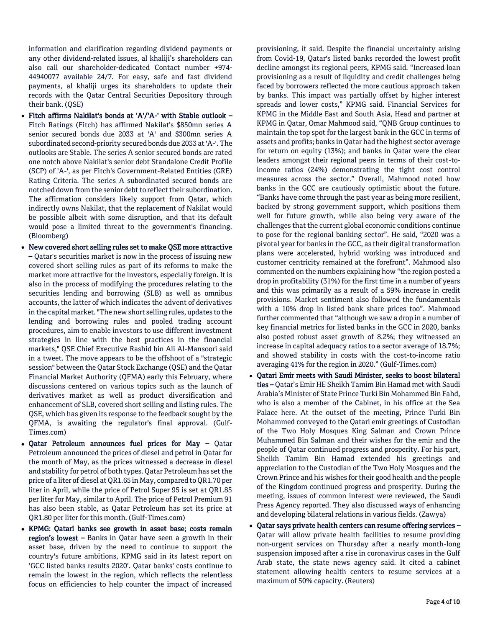information and clarification regarding dividend payments or any other dividend-related issues, al khaliji's shareholders can also call our shareholder-dedicated Contact number +974- 44940077 available 24/7. For easy, safe and fast dividend payments, al khaliji urges its shareholders to update their records with the Qatar Central Securities Depository through their bank. (QSE)

- Fitch affirms Nakilat's bonds at 'A'/'A-' with Stable outlook Fitch Ratings (Fitch) has affirmed Nakilat's \$850mn series A senior secured bonds due 2033 at 'A' and \$300mn series A subordinated second-priority secured bonds due 2033 at 'A-'. The outlooks are Stable. The series A senior secured bonds are rated one notch above Nakilat's senior debt Standalone Credit Profile (SCP) of 'A-', as per Fitch's Government-Related Entities (GRE) Rating Criteria. The series A subordinated secured bonds are notched down from the senior debt to reflect their subordination. The affirmation considers likely support from Qatar, which indirectly owns Nakilat, that the replacement of Nakilat would be possible albeit with some disruption, and that its default would pose a limited threat to the government's financing. (Bloomberg)
- New covered short selling rules set to make QSE more attractive – Qatar's securities market is now in the process of issuing new covered short selling rules as part of its reforms to make the market more attractive for the investors, especially foreign. It is also in the process of modifying the procedures relating to the securities lending and borrowing (SLB) as well as omnibus accounts, the latter of which indicates the advent of derivatives in the capital market. "The new short selling rules, updates to the lending and borrowing rules and pooled trading account procedures, aim to enable investors to use different investment strategies in line with the best practices in the financial markets," QSE Chief Executive Rashid bin Ali Al-Mansoori said in a tweet. The move appears to be the offshoot of a "strategic session" between the Qatar Stock Exchange (QSE) and the Qatar Financial Market Authority (QFMA) early this February, where discussions centered on various topics such as the launch of derivatives market as well as product diversification and enhancement of SLB, covered short selling and listing rules. The QSE, which has given its response to the feedback sought by the QFMA, is awaiting the regulator's final approval. (Gulf-Times.com)
- Qatar Petroleum announces fuel prices for May Qatar Petroleum announced the prices of diesel and petrol in Qatar for the month of May, as the prices witnessed a decrease in diesel and stability for petrol of both types. Qatar Petroleum has set the price of a liter of diesel at QR1.65 in May, compared to QR1.70 per liter in April, while the price of Petrol Super 95 is set at QR1.85 per liter for May, similar to April. The price of Petrol Premium 91 has also been stable, as Qatar Petroleum has set its price at QR1.80 per liter for this month. (Gulf-Times.com)
- KPMG: Qatari banks see growth in asset base; costs remain region's lowest – Banks in Qatar have seen a growth in their asset base, driven by the need to continue to support the country's future ambitions, KPMG said in its latest report on 'GCC listed banks results 2020'. Qatar banks' costs continue to remain the lowest in the region, which reflects the relentless focus on efficiencies to help counter the impact of increased

provisioning, it said. Despite the financial uncertainty arising from Covid-19, Qatar's listed banks recorded the lowest profit decline amongst its regional peers, KPMG said. "Increased loan provisioning as a result of liquidity and credit challenges being faced by borrowers reflected the more cautious approach taken by banks. This impact was partially offset by higher interest spreads and lower costs," KPMG said. Financial Services for KPMG in the Middle East and South Asia, Head and partner at KPMG in Qatar, Omar Mahmood said, "QNB Group continues to maintain the top spot for the largest bank in the GCC in terms of assets and profits; banks in Qatar had the highest sector average for return on equity (13%); and banks in Qatar were the clear leaders amongst their regional peers in terms of their cost-toincome ratios (24%) demonstrating the tight cost control measures across the sector." Overall, Mahmood noted how banks in the GCC are cautiously optimistic about the future. "Banks have come through the past year as being more resilient, backed by strong government support, which positions them well for future growth, while also being very aware of the challenges that the current global economic conditions continue to pose for the regional banking sector". He said, "2020 was a pivotal year for banks in the GCC, as their digital transformation plans were accelerated, hybrid working was introduced and customer centricity remained at the forefront". Mahmood also commented on the numbers explaining how "the region posted a drop in profitability (31%) for the first time in a number of years and this was primarily as a result of a 59% increase in credit provisions. Market sentiment also followed the fundamentals with a 10% drop in listed bank share prices too". Mahmood further commented that "although we saw a drop in a number of key financial metrics for listed banks in the GCC in 2020, banks also posted robust asset growth of 8.2%; they witnessed an increase in capital adequacy ratios to a sector average of 18.7%; and showed stability in costs with the cost-to-income ratio averaging 41% for the region in 2020." (Gulf-Times.com)

- Qatari Emir meets with Saudi Minister, seeks to boost bilateral ties – Qatar's Emir HE Sheikh Tamim Bin Hamad met with Saudi Arabia's Minister of State Prince Turki Bin Mohammed Bin Fahd, who is also a member of the Cabinet, in his office at the Sea Palace here. At the outset of the meeting, Prince Turki Bin Mohammed conveyed to the Qatari emir greetings of Custodian of the Two Holy Mosques King Salman and Crown Prince Muhammed Bin Salman and their wishes for the emir and the people of Qatar continued progress and prosperity. For his part, Sheikh Tamim Bin Hamad extended his greetings and appreciation to the Custodian of the Two Holy Mosques and the Crown Prince and his wishes for their good health and the people of the Kingdom continued progress and prosperity. During the meeting, issues of common interest were reviewed, the Saudi Press Agency reported. They also discussed ways of enhancing and developing bilateral relations in various fields. (Zawya)
- Qatar says private health centers can resume offering services Qatar will allow private health facilities to resume providing non-urgent services on Thursday after a nearly month-long suspension imposed after a rise in coronavirus cases in the Gulf Arab state, the state news agency said. It cited a cabinet statement allowing health centers to resume services at a maximum of 50% capacity. (Reuters)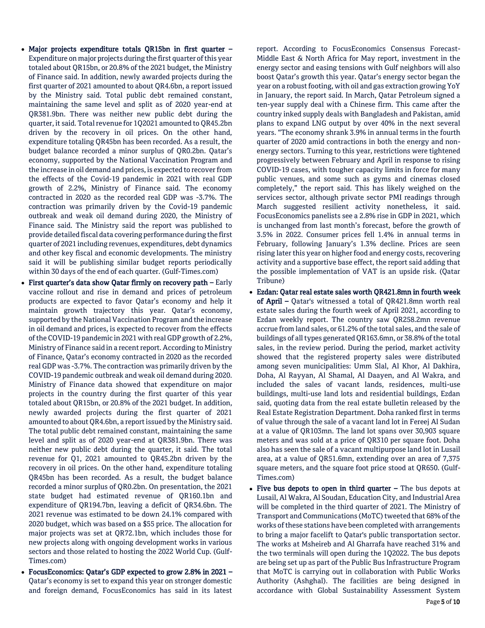- Major projects expenditure totals QR15bn in first quarter Expenditure on major projects during the first quarter of this year totaled about QR15bn, or 20.8% of the 2021 budget, the Ministry of Finance said. In addition, newly awarded projects during the first quarter of 2021 amounted to about QR4.6bn, a report issued by the Ministry said. Total public debt remained constant, maintaining the same level and split as of 2020 year-end at QR381.9bn. There was neither new public debt during the quarter, it said. Total revenue for 1Q2021 amounted to QR45.2bn driven by the recovery in oil prices. On the other hand, expenditure totaling QR45bn has been recorded. As a result, the budget balance recorded a minor surplus of QR0.2bn. Qatar's economy, supported by the National Vaccination Program and the increase in oil demand and prices, is expected to recover from the effects of the Covid-19 pandemic in 2021 with real GDP growth of 2.2%, Ministry of Finance said. The economy contracted in 2020 as the recorded real GDP was -3.7%. The contraction was primarily driven by the Covid-19 pandemic outbreak and weak oil demand during 2020, the Ministry of Finance said. The Ministry said the report was published to provide detailed fiscal data covering performance during the first quarter of 2021 including revenues, expenditures, debt dynamics and other key fiscal and economic developments. The ministry said it will be publishing similar budget reports periodically within 30 days of the end of each quarter. (Gulf-Times.com)
- First quarter's data show Qatar firmly on recovery path Early vaccine rollout and rise in demand and prices of petroleum products are expected to favor Qatar's economy and help it maintain growth trajectory this year. Qatar's economy, supported by the National Vaccination Program and the increase in oil demand and prices, is expected to recover from the effects of the COVID-19 pandemic in 2021 with real GDP growth of 2.2%, Ministry of Finance said in a recent report. According to Ministry of Finance, Qatar's economy contracted in 2020 as the recorded real GDP was -3.7%. The contraction was primarily driven by the COVID-19 pandemic outbreak and weak oil demand during 2020. Ministry of Finance data showed that expenditure on major projects in the country during the first quarter of this year totaled about QR15bn, or 20.8% of the 2021 budget. In addition, newly awarded projects during the first quarter of 2021 amounted to about QR4.6bn, a report issued by the Ministry said. The total public debt remained constant, maintaining the same level and split as of 2020 year-end at QR381.9bn. There was neither new public debt during the quarter, it said. The total revenue for Q1, 2021 amounted to QR45.2bn driven by the recovery in oil prices. On the other hand, expenditure totaling QR45bn has been recorded. As a result, the budget balance recorded a minor surplus of QR0.2bn. On presentation, the 2021 state budget had estimated revenue of QR160.1bn and expenditure of QR194.7bn, leaving a deficit of QR34.6bn. The 2021 revenue was estimated to be down 24.1% compared with 2020 budget, which was based on a \$55 price. The allocation for major projects was set at QR72.1bn, which includes those for new projects along with ongoing development works in various sectors and those related to hosting the 2022 World Cup. (Gulf-Times.com)
- FocusEconomics: Qatar's GDP expected to grow 2.8% in 2021 Qatar's economy is set to expand this year on stronger domestic and foreign demand, FocusEconomics has said in its latest

report. According to FocusEconomics Consensus Forecast-Middle East & North Africa for May report, investment in the energy sector and easing tensions with Gulf neighbors will also boost Qatar's growth this year. Qatar's energy sector began the year on a robust footing, with oil and gas extraction growing YoY in January, the report said. In March, Qatar Petroleum signed a ten-year supply deal with a Chinese firm. This came after the country inked supply deals with Bangladesh and Pakistan, amid plans to expand LNG output by over 40% in the next several years. "The economy shrank 3.9% in annual terms in the fourth quarter of 2020 amid contractions in both the energy and nonenergy sectors. Turning to this year, restrictions were tightened progressively between February and April in response to rising COVID-19 cases, with tougher capacity limits in force for many public venues, and some such as gyms and cinemas closed completely," the report said. This has likely weighed on the services sector, although private sector PMI readings through March suggested resilient activity nonetheless, it said. FocusEconomics panelists see a 2.8% rise in GDP in 2021, which is unchanged from last month's forecast, before the growth of 3.5% in 2022. Consumer prices fell 1.4% in annual terms in February, following January's 1.3% decline. Prices are seen rising later this year on higher food and energy costs, recovering activity and a supportive base effect, the report said adding that the possible implementation of VAT is an upside risk. (Qatar Tribune)

- Ezdan: Qatar real estate sales worth QR421.8mn in fourth week of April – Qatar's witnessed a total of QR421.8mn worth real estate sales during the fourth week of April 2021, according to Ezdan weekly report. The country saw QR258.2mn revenue accrue from land sales, or 61.2% of the total sales, and the sale of buildings of all types generated QR163.6mn, or 38.8% of the total sales, in the review period. During the period, market activity showed that the registered property sales were distributed among seven municipalities: Umm Slal, Al Khor, Al Dakhira, Doha, Al Rayyan, Al Shamal, Al Daayen, and Al Wakra, and included the sales of vacant lands, residences, multi-use buildings, multi-use land lots and residential buildings, Ezdan said, quoting data from the real estate bulletin released by the Real Estate Registration Department. Doha ranked first in terms of value through the sale of a vacant land lot in Fereej Al Sudan at a value of QR103mn. The land lot spans over 30,903 square meters and was sold at a price of QR310 per square foot. Doha also has seen the sale of a vacant multipurpose land lot in Lusail area, at a value of QR51.6mn, extending over an area of 7,375 square meters, and the square foot price stood at QR650. (Gulf-Times.com)
- $\bullet$  Five bus depots to open in third quarter The bus depots at Lusail, Al Wakra, Al Soudan, Education City, and Industrial Area will be completed in the third quarter of 2021. The Ministry of Transport and Communications (MoTC) tweeted that 68% of the works of these stations have been completed with arrangements to bring a major facelift to Qatar's public transportation sector. The works at Msheireb and Al Gharrafa have reached 31% and the two terminals will open during the 1Q2022. The bus depots are being set up as part of the Public Bus Infrastructure Program that MoTC is carrying out in collaboration with Public Works Authority (Ashghal). The facilities are being designed in accordance with Global Sustainability Assessment System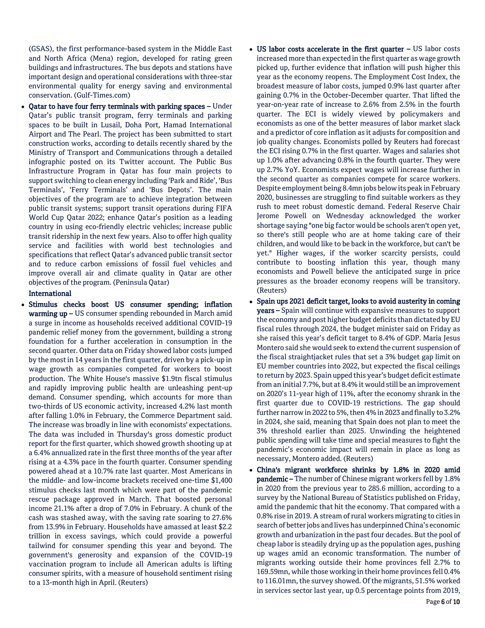(GSAS), the first performance-based system in the Middle East and North Africa (Mena) region, developed for rating green buildings and infrastructures. The bus depots and stations have important design and operational considerations with three-star environmental quality for energy saving and environmental conservation. (Gulf-Times.com)

 Qatar to have four ferry terminals with parking spaces – Under Qatar's public transit program, ferry terminals and parking spaces to be built in Lusail, Doha Port, Hamad International Airport and The Pearl. The project has been submitted to start construction works, according to details recently shared by the Ministry of Transport and Communications through a detailed infographic posted on its Twitter account. The Public Bus Infrastructure Program in Qatar has four main projects to support switching to clean energy including 'Park and Ride', 'Bus Terminals', 'Ferry Terminals' and 'Bus Depots'. The main objectives of the program are to achieve integration between public transit systems; support transit operations during FIFA World Cup Qatar 2022; enhance Qatar's position as a leading country in using eco-friendly electric vehicles; increase public transit ridership in the next few years. Also to offer high quality service and facilities with world best technologies and specifications that reflect Qatar's advanced public transit sector and to reduce carbon emissions of fossil fuel vehicles and improve overall air and climate quality in Qatar are other objectives of the program. (Peninsula Qatar)

#### International

- Stimulus checks boost US consumer spending; inflation warming up – US consumer spending rebounded in March amid a surge in income as households received additional COVID-19 pandemic relief money from the government, building a strong foundation for a further acceleration in consumption in the second quarter. Other data on Friday showed labor costs jumped by the most in 14 years in the first quarter, driven by a pick-up in wage growth as companies competed for workers to boost production. The White House's massive \$1.9tn fiscal stimulus and rapidly improving public health are unleashing pent-up demand. Consumer spending, which accounts for more than two-thirds of US economic activity, increased 4.2% last month after falling 1.0% in February, the Commerce Department said. The increase was broadly in line with economists' expectations. The data was included in Thursday's gross domestic product report for the first quarter, which showed growth shooting up at a 6.4% annualized rate in the first three months of the year after rising at a 4.3% pace in the fourth quarter. Consumer spending powered ahead at a 10.7% rate last quarter. Most Americans in the middle- and low-income brackets received one-time \$1,400 stimulus checks last month which were part of the pandemic rescue package approved in March. That boosted personal income 21.1% after a drop of 7.0% in February. A chunk of the cash was stashed away, with the saving rate soaring to 27.6% from 13.9% in February. Households have amassed at least \$2.2 trillion in excess savings, which could provide a powerful tailwind for consumer spending this year and beyond. The government's generosity and expansion of the COVID-19 vaccination program to include all American adults is lifting consumer spirits, with a measure of household sentiment rising to a 13-month high in April. (Reuters)
- US labor costs accelerate in the first quarter US labor costs increased more than expected in the first quarter as wage growth picked up, further evidence that inflation will push higher this year as the economy reopens. The Employment Cost Index, the broadest measure of labor costs, jumped 0.9% last quarter after gaining 0.7% in the October-December quarter. That lifted the year-on-year rate of increase to 2.6% from 2.5% in the fourth quarter. The ECI is widely viewed by policymakers and economists as one of the better measures of labor market slack and a predictor of core inflation as it adjusts for composition and job quality changes. Economists polled by Reuters had forecast the ECI rising 0.7% in the first quarter. Wages and salaries shot up 1.0% after advancing 0.8% in the fourth quarter. They were up 2.7% YoY. Economists expect wages will increase further in the second quarter as companies compete for scarce workers. Despite employment being 8.4mn jobs below its peak in February 2020, businesses are struggling to find suitable workers as they rush to meet robust domestic demand. Federal Reserve Chair Jerome Powell on Wednesday acknowledged the worker shortage saying "one big factor would be schools aren't open yet, so there's still people who are at home taking care of their children, and would like to be back in the workforce, but can't be yet." Higher wages, if the worker scarcity persists, could contribute to boosting inflation this year, though many economists and Powell believe the anticipated surge in price pressures as the broader economy reopens will be transitory. (Reuters)
- Spain ups 2021 deficit target, looks to avoid austerity in coming years – Spain will continue with expansive measures to support the economy and post higher budget deficits than dictated by EU fiscal rules through 2024, the budget minister said on Friday as she raised this year's deficit target to 8.4% of GDP. Maria Jesus Montero said she would seek to extend the current suspension of the fiscal straightjacket rules that set a 3% budget gap limit on EU member countries into 2022, but expected the fiscal ceilings to return by 2023. Spain upped this year's budget deficit estimate from an initial 7.7%, but at 8.4% it would still be an improvement on 2020's 11-year high of 11%, after the economy shrank in the first quarter due to COVID-19 restrictions. The gap should further narrow in 2022 to 5%, then 4% in 2023 and finally to 3.2% in 2024, she said, meaning that Spain does not plan to meet the 3% threshold earlier than 2025. Unwinding the heightened public spending will take time and special measures to fight the pandemic's economic impact will remain in place as long as necessary, Montero added. (Reuters)
- China's migrant workforce shrinks by 1.8% in 2020 amid pandemic – The number of Chinese migrant workers fell by 1.8% in 2020 from the previous year to 285.6 million, according to a survey by the National Bureau of Statistics published on Friday, amid the pandemic that hit the economy. That compared with a 0.8% rise in 2019. A stream of rural workers migrating to cities in search of better jobs and lives has underpinned China's economic growth and urbanization in the past four decades. But the pool of cheap labor is steadily drying up as the population ages, pushing up wages amid an economic transformation. The number of migrants working outside their home provinces fell 2.7% to 169.59mn, while those working in their home provinces fell 0.4% to 116.01mn, the survey showed. Of the migrants, 51.5% worked in services sector last year, up 0.5 percentage points from 2019,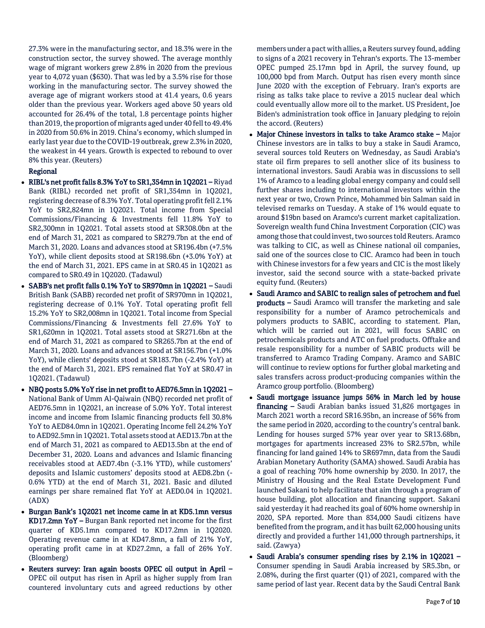27.3% were in the manufacturing sector, and 18.3% were in the construction sector, the survey showed. The average monthly wage of migrant workers grew 2.8% in 2020 from the previous year to 4,072 yuan (\$630). That was led by a 3.5% rise for those working in the manufacturing sector. The survey showed the average age of migrant workers stood at 41.4 years, 0.6 years older than the previous year. Workers aged above 50 years old accounted for 26.4% of the total, 1.8 percentage points higher than 2019, the proportion of migrants aged under 40 fell to 49.4% in 2020 from 50.6% in 2019. China's economy, which slumped in early last year due to the COVID-19 outbreak, grew 2.3% in 2020, the weakest in 44 years. Growth is expected to rebound to over 8% this year. (Reuters)

### Regional

- RIBL's net profit falls 8.3% YoY to SR1,354mn in 1Q2021 Riyad Bank (RIBL) recorded net profit of SR1,354mn in 1Q2021, registering decrease of 8.3% YoY. Total operating profit fell 2.1% YoY to SR2,824mn in 1Q2021. Total income from Special Commissions/Financing & Investments fell 11.8% YoY to SR2,300mn in 1Q2021. Total assets stood at SR308.0bn at the end of March 31, 2021 as compared to SR279.7bn at the end of March 31, 2020. Loans and advances stood at SR196.4bn (+7.5% YoY), while client deposits stood at SR198.6bn (+3.0% YoY) at the end of March 31, 2021. EPS came in at SR0.45 in 1Q2021 as compared to SR0.49 in 1Q2020. (Tadawul)
- SABB's net profit falls 0.1% YoY to SR970mn in 1Q2021 Saudi British Bank (SABB) recorded net profit of SR970mn in 1Q2021, registering decrease of 0.1% YoY. Total operating profit fell 15.2% YoY to SR2,008mn in 1Q2021. Total income from Special Commissions/Financing & Investments fell 27.6% YoY to SR1,620mn in 1Q2021. Total assets stood at SR271.6bn at the end of March 31, 2021 as compared to SR265.7bn at the end of March 31, 2020. Loans and advances stood at SR156.7bn (+1.0% YoY), while clients' deposits stood at SR183.7bn (-2.4% YoY) at the end of March 31, 2021. EPS remained flat YoY at SR0.47 in 1Q2021. (Tadawul)
- NBQ posts 5.0% YoY rise in net profit to AED76.5mn in 1Q2021 National Bank of Umm Al-Qaiwain (NBQ) recorded net profit of AED76.5mn in 1Q2021, an increase of 5.0% YoY. Total interest income and income from Islamic financing products fell 30.8% YoY to AED84.0mn in 1Q2021. Operating Income fell 24.2% YoY to AED92.5mn in 1Q2021. Total assets stood at AED13.7bn at the end of March 31, 2021 as compared to AED13.5bn at the end of December 31, 2020. Loans and advances and Islamic financing receivables stood at AED7.4bn (-3.1% YTD), while customers' deposits and Islamic customers' deposits stood at AED8.2bn (- 0.6% YTD) at the end of March 31, 2021. Basic and diluted earnings per share remained flat YoY at AED0.04 in 1Q2021. (ADX)
- Burgan Bank's 1Q2021 net income came in at KD5.1mn versus KD17.2mn YoY – Burgan Bank reported net income for the first quarter of KD5.1mn compared to KD17.2mn in 1Q2020. Operating revenue came in at KD47.8mn, a fall of 21% YoY, operating profit came in at KD27.2mn, a fall of 26% YoY. (Bloomberg)
- Reuters survey: Iran again boosts OPEC oil output in April OPEC oil output has risen in April as higher supply from Iran countered involuntary cuts and agreed reductions by other

members under a pact with allies, a Reuters survey found, adding to signs of a 2021 recovery in Tehran's exports. The 13-member OPEC pumped 25.17mn bpd in April, the survey found, up 100,000 bpd from March. Output has risen every month since June 2020 with the exception of February. Iran's exports are rising as talks take place to revive a 2015 nuclear deal which could eventually allow more oil to the market. US President, Joe Biden's administration took office in January pledging to rejoin the accord. (Reuters)

- Major Chinese investors in talks to take Aramco stake Major Chinese investors are in talks to buy a stake in Saudi Aramco, several sources told Reuters on Wednesday, as Saudi Arabia's state oil firm prepares to sell another slice of its business to international investors. Saudi Arabia was in discussions to sell 1% of Aramco to a leading global energy company and could sell further shares including to international investors within the next year or two, Crown Prince, Mohammed bin Salman said in televised remarks on Tuesday. A stake of 1% would equate to around \$19bn based on Aramco's current market capitalization. Sovereign wealth fund China Investment Corporation (CIC) was among those that could invest, two sources told Reuters. Aramco was talking to CIC, as well as Chinese national oil companies, said one of the sources close to CIC. Aramco had been in touch with Chinese investors for a few years and CIC is the most likely investor, said the second source with a state-backed private equity fund. (Reuters)
- Saudi Aramco and SABIC to realign sales of petrochem and fuel products – Saudi Aramco will transfer the marketing and sale responsibility for a number of Aramco petrochemicals and polymers products to SABIC, according to statement. Plan, which will be carried out in 2021, will focus SABIC on petrochemicals products and ATC on fuel products. Offtake and resale responsibility for a number of SABIC products will be transferred to Aramco Trading Company. Aramco and SABIC will continue to review options for further global marketing and sales transfers across product-producing companies within the Aramco group portfolio. (Bloomberg)
- Saudi mortgage issuance jumps 56% in March led by house financing – Saudi Arabian banks issued 31,826 mortgages in March 2021 worth a record SR16.95bn, an increase of 56% from the same period in 2020, according to the country's central bank. Lending for houses surged 57% year over year to SR13.68bn, mortgages for apartments increased 23% to SR2.57bn, while financing for land gained 14% to SR697mn, data from the Saudi Arabian Monetary Authority (SAMA) showed. Saudi Arabia has a goal of reaching 70% home ownership by 2030. In 2017, the Ministry of Housing and the Real Estate Development Fund launched Sakani to help facilitate that aim through a program of house building, plot allocation and financing support. Sakani said yesterday it had reached its goal of 60% home ownership in 2020, SPA reported. More than 834,000 Saudi citizens have benefited from the program, and it has built 62,000 housing units directly and provided a further 141,000 through partnerships, it said. (Zawya)
- Saudi Arabia's consumer spending rises by 2.1% in 1Q2021 Consumer spending in Saudi Arabia increased by SR5.3bn, or 2.08%, during the first quarter (Q1) of 2021, compared with the same period of last year. Recent data by the Saudi Central Bank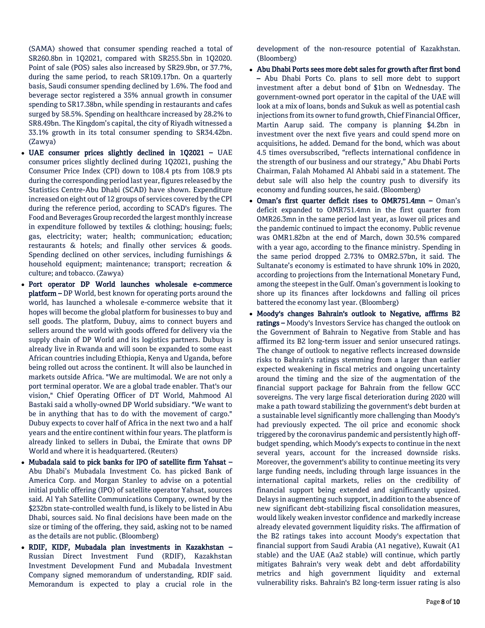(SAMA) showed that consumer spending reached a total of SR260.8bn in 1Q2021, compared with SR255.5bn in 1Q2020. Point of sale (POS) sales also increased by SR29.9bn, or 37.7%, during the same period, to reach SR109.17bn. On a quarterly basis, Saudi consumer spending declined by 1.6%. The food and beverage sector registered a 35% annual growth in consumer spending to SR17.38bn, while spending in restaurants and cafes surged by 58.5%. Spending on healthcare increased by 28.2% to SR8.49bn. The Kingdom's capital, the city of Riyadh witnessed a 33.1% growth in its total consumer spending to SR34.42bn. (Zawya)

- UAE consumer prices slightly declined in 1Q2021 UAE consumer prices slightly declined during 1Q2021, pushing the Consumer Price Index (CPI) down to 108.4 pts from 108.9 pts during the corresponding period last year, figures released by the Statistics Centre-Abu Dhabi (SCAD) have shown. Expenditure increased on eight out of 12 groups of services covered by the CPI during the reference period, according to SCAD's figures. The Food and Beverages Group recorded the largest monthly increase in expenditure followed by textiles & clothing; housing; fuels; gas, electricity; water; health; communication; education; restaurants & hotels; and finally other services & goods. Spending declined on other services, including furnishings & household equipment; maintenance; transport; recreation & culture; and tobacco. (Zawya)
- Port operator DP World launches wholesale e-commerce platform – DP World, best known for operating ports around the world, has launched a wholesale e-commerce website that it hopes will become the global platform for businesses to buy and sell goods. The platform, Dubuy, aims to connect buyers and sellers around the world with goods offered for delivery via the supply chain of DP World and its logistics partners. Dubuy is already live in Rwanda and will soon be expanded to some east African countries including Ethiopia, Kenya and Uganda, before being rolled out across the continent. It will also be launched in markets outside Africa. "We are multimodal. We are not only a port terminal operator. We are a global trade enabler. That's our vision," Chief Operating Officer of DT World, Mahmood Al Bastaki said a wholly-owned DP World subsidiary. "We want to be in anything that has to do with the movement of cargo." Dubuy expects to cover half of Africa in the next two and a half years and the entire continent within four years. The platform is already linked to sellers in Dubai, the Emirate that owns DP World and where it is headquartered. (Reuters)
- Mubadala said to pick banks for IPO of satellite firm Yahsat Abu Dhabi's Mubadala Investment Co. has picked Bank of America Corp. and Morgan Stanley to advise on a potential initial public offering (IPO) of satellite operator Yahsat, sources said. Al Yah Satellite Communications Company, owned by the \$232bn state-controlled wealth fund, is likely to be listed in Abu Dhabi, sources said. No final decisions have been made on the size or timing of the offering, they said, asking not to be named as the details are not public. (Bloomberg)
- RDIF, KIDF, Mubadala plan investments in Kazakhstan Russian Direct Investment Fund (RDIF), Kazakhstan Investment Development Fund and Mubadala Investment Company signed memorandum of understanding, RDIF said. Memorandum is expected to play a crucial role in the

development of the non-resource potential of Kazakhstan. (Bloomberg)

- Abu Dhabi Ports sees more debt sales for growth after first bond – Abu Dhabi Ports Co. plans to sell more debt to support investment after a debut bond of \$1bn on Wednesday. The government-owned port operator in the capital of the UAE will look at a mix of loans, bonds and Sukuk as well as potential cash injections from its owner to fund growth, Chief Financial Officer, Martin Aarup said. The company is planning \$4.2bn in investment over the next five years and could spend more on acquisitions, he added. Demand for the bond, which was about 4.5 times oversubscribed, "reflects international confidence in the strength of our business and our strategy," Abu Dhabi Ports Chairman, Falah Mohamed Al Ahbabi said in a statement. The debut sale will also help the country push to diversify its economy and funding sources, he said. (Bloomberg)
- Oman's first quarter deficit rises to OMR751.4mn Oman's deficit expanded to OMR751.4mn in the first quarter from OMR26.3mn in the same period last year, as lower oil prices and the pandemic continued to impact the economy. Public revenue was OMR1.82bn at the end of March, down 30.5% compared with a year ago, according to the finance ministry. Spending in the same period dropped 2.73% to OMR2.57bn, it said. The Sultanate's economy is estimated to have shrunk 10% in 2020, according to projections from the International Monetary Fund, among the steepest in the Gulf. Oman's government is looking to shore up its finances after lockdowns and falling oil prices battered the economy last year. (Bloomberg)
- Moody's changes Bahrain's outlook to Negative, affirms B2 ratings – Moody's Investors Service has changed the outlook on the Government of Bahrain to Negative from Stable and has affirmed its B2 long-term issuer and senior unsecured ratings. The change of outlook to negative reflects increased downside risks to Bahrain's ratings stemming from a larger than earlier expected weakening in fiscal metrics and ongoing uncertainty around the timing and the size of the augmentation of the financial support package for Bahrain from the fellow GCC sovereigns. The very large fiscal deterioration during 2020 will make a path toward stabilizing the government's debt burden at a sustainable level significantly more challenging than Moody's had previously expected. The oil price and economic shock triggered by the coronavirus pandemic and persistently high offbudget spending, which Moody's expects to continue in the next several years, account for the increased downside risks. Moreover, the government's ability to continue meeting its very large funding needs, including through large issuances in the international capital markets, relies on the credibility of financial support being extended and significantly upsized. Delays in augmenting such support, in addition to the absence of new significant debt-stabilizing fiscal consolidation measures, would likely weaken investor confidence and markedly increase already elevated government liquidity risks. The affirmation of the B2 ratings takes into account Moody's expectation that financial support from Saudi Arabia (A1 negative), Kuwait (A1 stable) and the UAE (Aa2 stable) will continue, which partly mitigates Bahrain's very weak debt and debt affordability metrics and high government liquidity and external vulnerability risks. Bahrain's B2 long-term issuer rating is also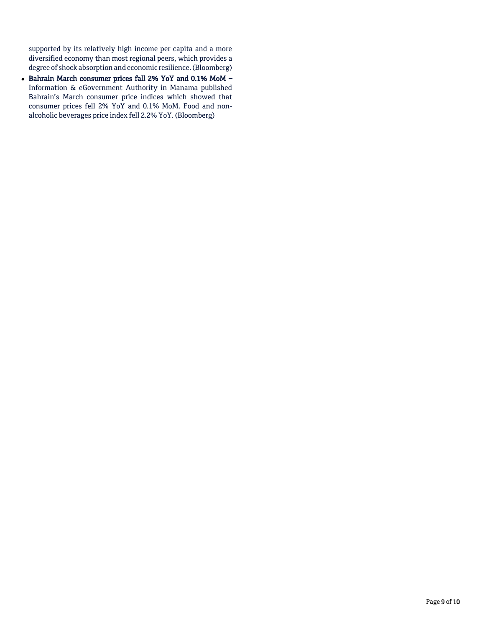supported by its relatively high income per capita and a more diversified economy than most regional peers, which provides a degree of shock absorption and economic resilience. (Bloomberg)

- Bahrain March consumer prices fall 2% YoY and 0.1% MoM -Information & eGovernment Authority in Manama published Bahrain's March consumer price indices which showed that consumer prices fell 2% YoY and 0.1% MoM. Food and nonalcoholic beverages price index fell 2.2% YoY. (Bloomberg)